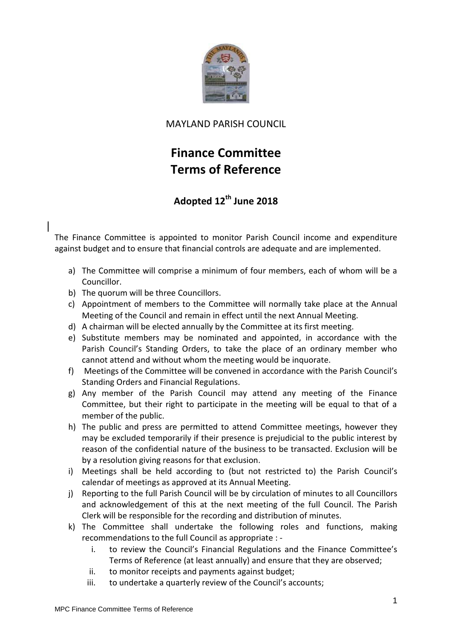

## MAYLAND PARISH COUNCIL

## **Finance Committee Terms of Reference**

## **Adopted 12th June 2018**

The Finance Committee is appointed to monitor Parish Council income and expenditure against budget and to ensure that financial controls are adequate and are implemented.

- a) The Committee will comprise a minimum of four members, each of whom will be a Councillor.
- b) The quorum will be three Councillors.
- c) Appointment of members to the Committee will normally take place at the Annual Meeting of the Council and remain in effect until the next Annual Meeting.
- d) A chairman will be elected annually by the Committee at its first meeting.
- e) Substitute members may be nominated and appointed, in accordance with the Parish Council's Standing Orders, to take the place of an ordinary member who cannot attend and without whom the meeting would be inquorate.
- f) Meetings of the Committee will be convened in accordance with the Parish Council's Standing Orders and Financial Regulations.
- g) Any member of the Parish Council may attend any meeting of the Finance Committee, but their right to participate in the meeting will be equal to that of a member of the public.
- h) The public and press are permitted to attend Committee meetings, however they may be excluded temporarily if their presence is prejudicial to the public interest by reason of the confidential nature of the business to be transacted. Exclusion will be by a resolution giving reasons for that exclusion.
- i) Meetings shall be held according to (but not restricted to) the Parish Council's calendar of meetings as approved at its Annual Meeting.
- j) Reporting to the full Parish Council will be by circulation of minutes to all Councillors and acknowledgement of this at the next meeting of the full Council. The Parish Clerk will be responsible for the recording and distribution of minutes.
- k) The Committee shall undertake the following roles and functions, making recommendations to the full Council as appropriate :
	- i. to review the Council's Financial Regulations and the Finance Committee's Terms of Reference (at least annually) and ensure that they are observed;
	- ii. to monitor receipts and payments against budget;
	- iii. to undertake a quarterly review of the Council's accounts;